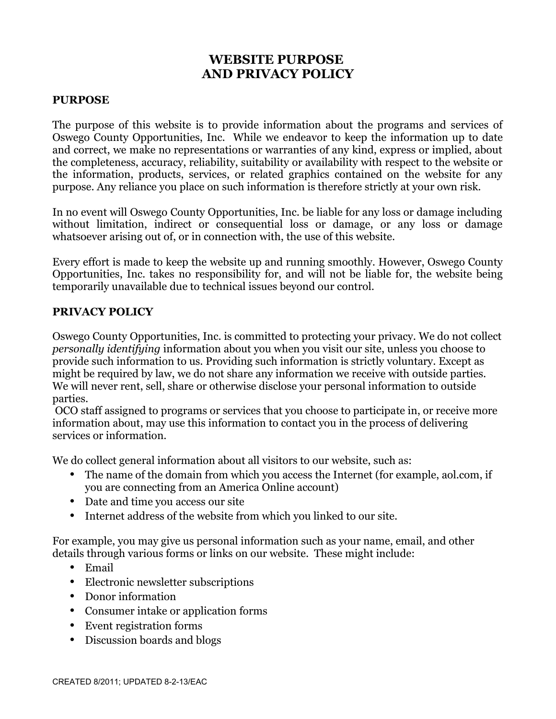# **WEBSITE PURPOSE AND PRIVACY POLICY**

#### **PURPOSE**

The purpose of this website is to provide information about the programs and services of Oswego County Opportunities, Inc. While we endeavor to keep the information up to date and correct, we make no representations or warranties of any kind, express or implied, about the completeness, accuracy, reliability, suitability or availability with respect to the website or the information, products, services, or related graphics contained on the website for any purpose. Any reliance you place on such information is therefore strictly at your own risk.

In no event will Oswego County Opportunities, Inc. be liable for any loss or damage including without limitation, indirect or consequential loss or damage, or any loss or damage whatsoever arising out of, or in connection with, the use of this website.

Every effort is made to keep the website up and running smoothly. However, Oswego County Opportunities, Inc. takes no responsibility for, and will not be liable for, the website being temporarily unavailable due to technical issues beyond our control.

#### **PRIVACY POLICY**

Oswego County Opportunities, Inc. is committed to protecting your privacy. We do not collect *personally identifying* information about you when you visit our site, unless you choose to provide such information to us. Providing such information is strictly voluntary. Except as might be required by law, we do not share any information we receive with outside parties. We will never rent, sell, share or otherwise disclose your personal information to outside parties.

 OCO staff assigned to programs or services that you choose to participate in, or receive more information about, may use this information to contact you in the process of delivering services or information.

We do collect general information about all visitors to our website, such as:

- The name of the domain from which you access the Internet (for example, aol.com, if you are connecting from an America Online account)
- Date and time you access our site
- Internet address of the website from which you linked to our site.

For example, you may give us personal information such as your name, email, and other details through various forms or links on our website. These might include:

- Email
- Electronic newsletter subscriptions
- Donor information
- Consumer intake or application forms
- Event registration forms
- Discussion boards and blogs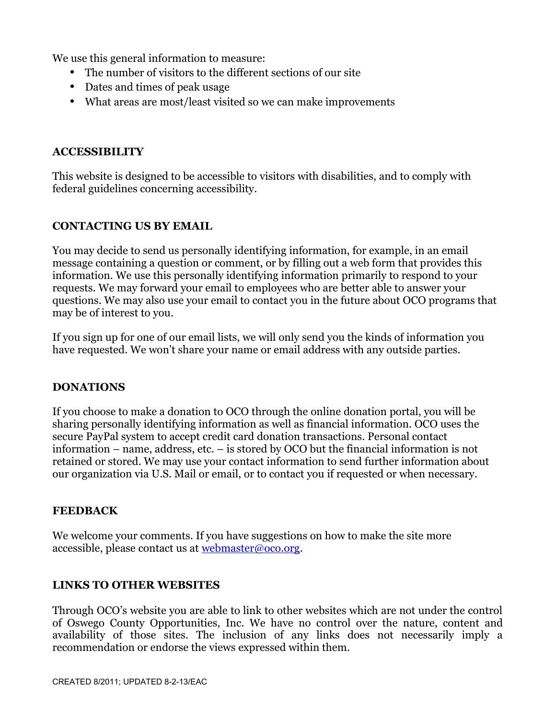We use this general information to measure:

- The number of visitors to the different sections of our site
- Dates and times of peak usage
- What areas are most/least visited so we can make improvements

#### **ACCESSIBILITY**

This website is designed to be accessible to visitors with disabilities, and to comply with federal guidelines concerning accessibility.

### **CONTACTING US BY EMAIL**

You may decide to send us personally identifying information, for example, in an email message containing a question or comment, or by filling out a web form that provides this information. We use this personally identifying information primarily to respond to your requests. We may forward your email to employees who are better able to answer your questions. We may also use your email to contact you in the future about OCO programs that may be of interest to you.

If you sign up for one of our email lists, we will only send you the kinds of information you have requested. We won't share your name or email address with any outside parties.

### **DONATIONS**

If you choose to make a donation to OCO through the online donation portal, you will be sharing personally identifying information as well as financial information. OCO uses the secure PayPal system to accept credit card donation transactions. Personal contact information – name, address, etc. – is stored by OCO but the financial information is not retained or stored. We may use your contact information to send further information about our organization via U.S. Mail or email, or to contact you if requested or when necessary.

#### **FEEDBACK**

We welcome your comments. If you have suggestions on how to make the site more accessible, please contact us at [webmaster@oco.org.](mailto:webmaster@oco.org)

### **LINKS TO OTHER WEBSITES**

Through OCO's website you are able to link to other websites which are not under the control of Oswego County Opportunities, Inc. We have no control over the nature, content and availability of those sites. The inclusion of any links does not necessarily imply a recommendation or endorse the views expressed within them.